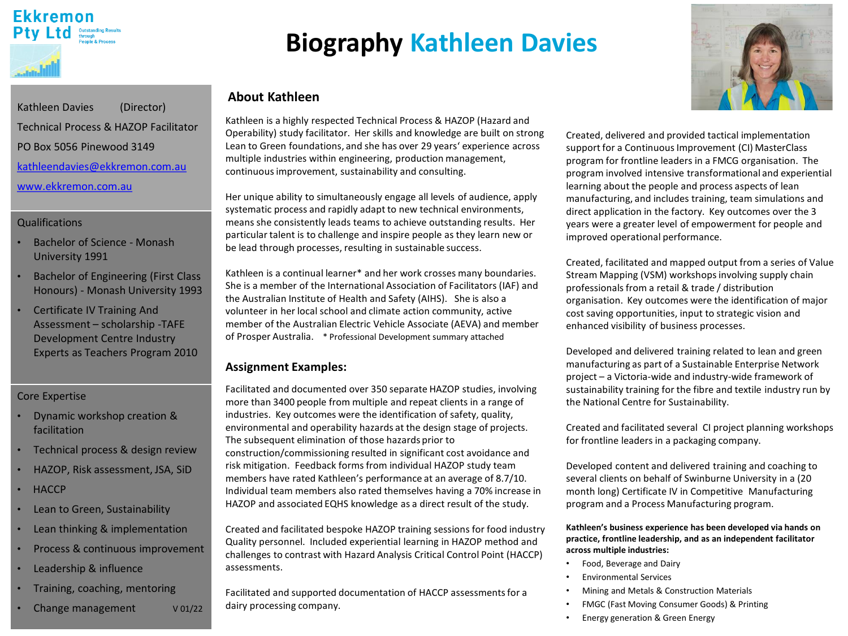# **Ekkremon** Pty Ltd Outstanding Res

# **Biography Kathleen Davies**

## **About Kathleen**

Kathleen is a highly respected Technical Process & HAZOP (Hazard and Operability) study facilitator. Her skills and knowledge are built on strong Lean to Green foundations, and she has over 29 years' experience across multiple industries within engineering, production management, continuous improvement, sustainability and consulting.

Her unique ability to simultaneously engage all levels of audience, apply systematic process and rapidly adapt to new technical environments, means she consistently leads teams to achieve outstanding results. Her particular talent is to challenge and inspire people as they learn new or be lead through processes, resulting in sustainable success.

Kathleen is a continual learner\* and her work crosses many boundaries. She is a member of the International Association of Facilitators (IAF) and the Australian Institute of Health and Safety (AIHS). She is also a volunteer in her local school and climate action community, active member of the Australian Electric Vehicle Associate (AEVA) and member of Prosper Australia. \* Professional Development summary attached

## **Assignment Examples:**

Facilitated and documented over 350 separate HAZOP studies, involving more than 3400 people from multiple and repeat clients in a range of industries. Key outcomes were the identification of safety, quality, environmental and operability hazards at the design stage of projects. The subsequent elimination of those hazards prior to construction/commissioning resulted in significant cost avoidance and risk mitigation. Feedback forms from individual HAZOP study team members have rated Kathleen's performance at an average of 8.7/10. Individual team members also rated themselves having a 70% increase in HAZOP and associated EQHS knowledge as a direct result of the study.

Created and facilitated bespoke HAZOP training sessions for food industry Quality personnel. Included experiential learning in HAZOP method and challenges to contrast with Hazard Analysis Critical Control Point (HACCP) assessments.

Facilitated and supported documentation of HACCP assessments for a dairy processing company.



Created, delivered and provided tactical implementation support for a Continuous Improvement (CI) MasterClass program for frontline leaders in a FMCG organisation. The program involved intensive transformational and experiential learning about the people and process aspects of lean manufacturing, and includes training, team simulations and direct application in the factory. Key outcomes over the 3 years were a greater level of empowerment for people and improved operational performance.

Created, facilitated and mapped output from a series of Value Stream Mapping (VSM) workshops involving supply chain professionals from a retail & trade / distribution organisation. Key outcomes were the identification of major cost saving opportunities, input to strategic vision and enhanced visibility of business processes.

Developed and delivered training related to lean and green manufacturing as part of a Sustainable Enterprise Network project – a Victoria-wide and industry-wide framework of sustainability training for the fibre and textile industry run by the National Centre for Sustainability.

Created and facilitated several CI project planning workshops for frontline leaders in a packaging company.

Developed content and delivered training and coaching to several clients on behalf of Swinburne University in a (20 month long) Certificate IV in Competitive Manufacturing program and a Process Manufacturing program.

**Kathleen's business experience has been developed via hands on practice, frontline leadership, and as an independent facilitator across multiple industries:**

- Food, Beverage and Dairy
- Environmental Services
- Mining and Metals & Construction Materials
- FMGC (Fast Moving Consumer Goods) & Printing
- Energy generation & Green Energy

Kathleen Davies (Director) Technical Process & HAZOP Facilitator PO Box 5056 Pinewood 3149 [kathleendavies@ekkremon.com.au](mailto:kathleendavies@Ekkremon.com.au)

[www.ekkremon.com.au](http://www.ekkremon.com.au/)

#### Qualifications

- Bachelor of Science Monash University 1991
- Bachelor of Engineering (First Class Honours) - Monash University 1993
- Certificate IV Training And Assessment – scholarship -TAFE Development Centre Industry Experts as Teachers Program 2010

### Core Expertise

- Dynamic workshop creation & facilitation
- Technical process & design review
- HAZOP, Risk assessment, JSA, SiD
- **HACCP**
- Lean to Green, Sustainability
- Lean thinking & implementation
- Process & continuous improvement
- Leadership & influence
- Training, coaching, mentoring
- Change management v 01/22